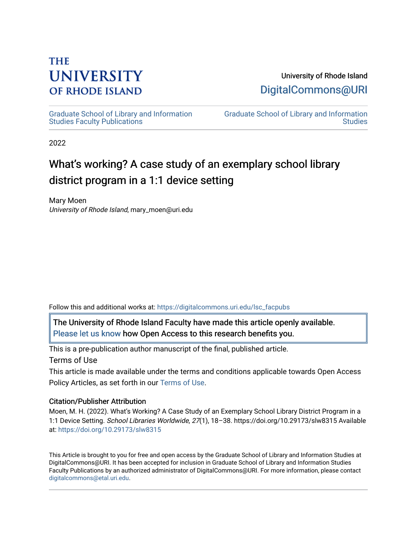# **THE UNIVERSITY OF RHODE ISLAND**

# University of Rhode Island [DigitalCommons@URI](https://digitalcommons.uri.edu/)

[Graduate School of Library and Information](https://digitalcommons.uri.edu/lsc_facpubs)  [Studies Faculty Publications](https://digitalcommons.uri.edu/lsc_facpubs) 

[Graduate School of Library and Information](https://digitalcommons.uri.edu/lsc)  [Studies](https://digitalcommons.uri.edu/lsc) 

2022

# What's working? A case study of an exemplary school library district program in a 1:1 device setting

Mary Moen University of Rhode Island, mary\_moen@uri.edu

Follow this and additional works at: [https://digitalcommons.uri.edu/lsc\\_facpubs](https://digitalcommons.uri.edu/lsc_facpubs?utm_source=digitalcommons.uri.edu%2Flsc_facpubs%2F41&utm_medium=PDF&utm_campaign=PDFCoverPages) 

The University of Rhode Island Faculty have made this article openly available. [Please let us know](http://web.uri.edu/library-digital-initiatives/open-access-online-form/) how Open Access to this research benefits you.

This is a pre-publication author manuscript of the final, published article. Terms of Use

This article is made available under the terms and conditions applicable towards Open Access Policy Articles, as set forth in our [Terms of Use](https://digitalcommons.uri.edu/lsc_facpubs/oa_policy_terms.html).

# Citation/Publisher Attribution

Moen, M. H. (2022). What's Working? A Case Study of an Exemplary School Library District Program in a 1:1 Device Setting. School Libraries Worldwide, 27(1), 18–38. https://doi.org/10.29173/slw8315 Available at: <https://doi.org/10.29173/slw8315>

This Article is brought to you for free and open access by the Graduate School of Library and Information Studies at DigitalCommons@URI. It has been accepted for inclusion in Graduate School of Library and Information Studies Faculty Publications by an authorized administrator of DigitalCommons@URI. For more information, please contact [digitalcommons@etal.uri.edu](mailto:digitalcommons@etal.uri.edu).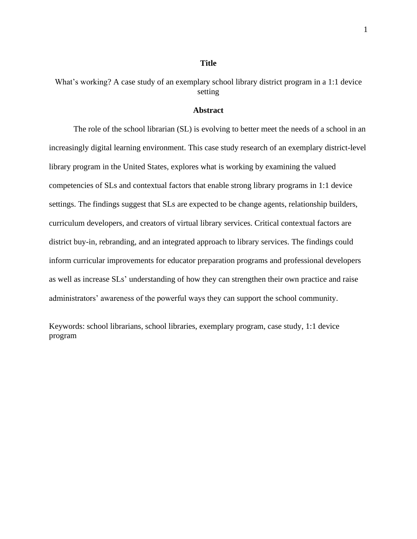#### **Title**

What's working? A case study of an exemplary school library district program in a 1:1 device setting

#### **Abstract**

The role of the school librarian (SL) is evolving to better meet the needs of a school in an increasingly digital learning environment. This case study research of an exemplary district-level library program in the United States, explores what is working by examining the valued competencies of SLs and contextual factors that enable strong library programs in 1:1 device settings. The findings suggest that SLs are expected to be change agents, relationship builders, curriculum developers, and creators of virtual library services. Critical contextual factors are district buy-in, rebranding, and an integrated approach to library services. The findings could inform curricular improvements for educator preparation programs and professional developers as well as increase SLs' understanding of how they can strengthen their own practice and raise administrators' awareness of the powerful ways they can support the school community.

Keywords: school librarians, school libraries, exemplary program, case study, 1:1 device program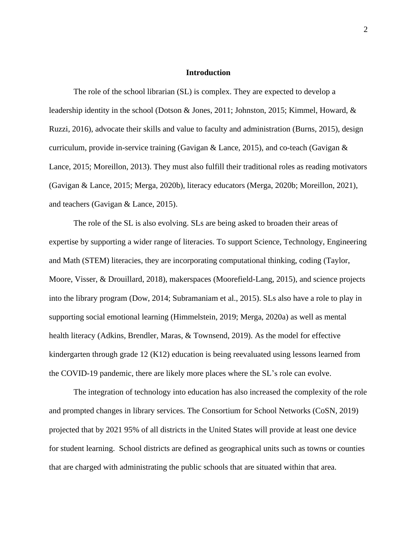#### **Introduction**

The role of the school librarian (SL) is complex. They are expected to develop a leadership identity in the school (Dotson & Jones, 2011; Johnston, 2015; Kimmel, Howard, & Ruzzi, 2016), advocate their skills and value to faculty and administration (Burns, 2015), design curriculum, provide in-service training (Gavigan & Lance, 2015), and co-teach (Gavigan & Lance, 2015; Moreillon, 2013). They must also fulfill their traditional roles as reading motivators (Gavigan & Lance, 2015; Merga, 2020b), literacy educators (Merga, 2020b; Moreillon, 2021), and teachers (Gavigan & Lance, 2015).

The role of the SL is also evolving. SLs are being asked to broaden their areas of expertise by supporting a wider range of literacies. To support Science, Technology, Engineering and Math (STEM) literacies, they are incorporating computational thinking, coding (Taylor, Moore, Visser, & Drouillard, 2018), makerspaces (Moorefield-Lang, 2015), and science projects into the library program (Dow, 2014; Subramaniam et al., 2015). SLs also have a role to play in supporting social emotional learning (Himmelstein, 2019; Merga, 2020a) as well as mental health literacy (Adkins, Brendler, Maras, & Townsend, 2019). As the model for effective kindergarten through grade 12 (K12) education is being reevaluated using lessons learned from the COVID-19 pandemic, there are likely more places where the SL's role can evolve.

The integration of technology into education has also increased the complexity of the role and prompted changes in library services. The Consortium for School Networks (CoSN, 2019) projected that by 2021 95% of all districts in the United States will provide at least one device for student learning. School districts are defined as geographical units such as towns or counties that are charged with administrating the public schools that are situated within that area.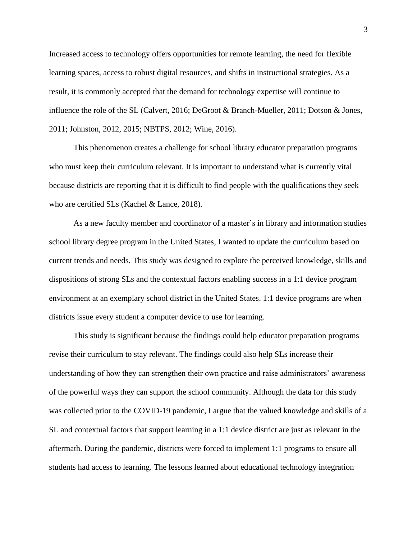Increased access to technology offers opportunities for remote learning, the need for flexible learning spaces, access to robust digital resources, and shifts in instructional strategies. As a result, it is commonly accepted that the demand for technology expertise will continue to influence the role of the SL (Calvert, 2016; DeGroot & Branch-Mueller, 2011; Dotson & Jones, 2011; Johnston, 2012, 2015; NBTPS, 2012; Wine, 2016).

This phenomenon creates a challenge for school library educator preparation programs who must keep their curriculum relevant. It is important to understand what is currently vital because districts are reporting that it is difficult to find people with the qualifications they seek who are certified SLs (Kachel & Lance, 2018).

As a new faculty member and coordinator of a master's in library and information studies school library degree program in the United States, I wanted to update the curriculum based on current trends and needs. This study was designed to explore the perceived knowledge, skills and dispositions of strong SLs and the contextual factors enabling success in a 1:1 device program environment at an exemplary school district in the United States. 1:1 device programs are when districts issue every student a computer device to use for learning.

This study is significant because the findings could help educator preparation programs revise their curriculum to stay relevant. The findings could also help SLs increase their understanding of how they can strengthen their own practice and raise administrators' awareness of the powerful ways they can support the school community. Although the data for this study was collected prior to the COVID-19 pandemic, I argue that the valued knowledge and skills of a SL and contextual factors that support learning in a 1:1 device district are just as relevant in the aftermath. During the pandemic, districts were forced to implement 1:1 programs to ensure all students had access to learning. The lessons learned about educational technology integration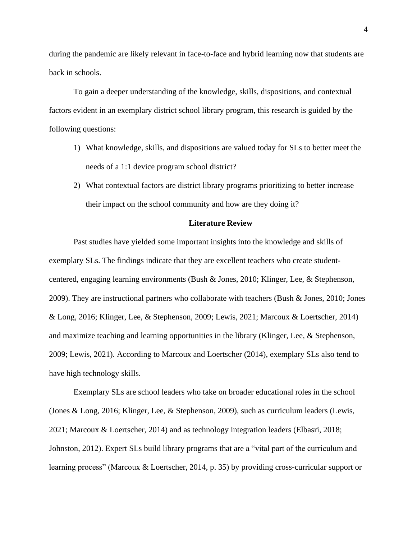during the pandemic are likely relevant in face-to-face and hybrid learning now that students are back in schools.

To gain a deeper understanding of the knowledge, skills, dispositions, and contextual factors evident in an exemplary district school library program, this research is guided by the following questions:

- 1) What knowledge, skills, and dispositions are valued today for SLs to better meet the needs of a 1:1 device program school district?
- 2) What contextual factors are district library programs prioritizing to better increase their impact on the school community and how are they doing it?

#### **Literature Review**

Past studies have yielded some important insights into the knowledge and skills of exemplary SLs. The findings indicate that they are excellent teachers who create studentcentered, engaging learning environments (Bush & Jones, 2010; Klinger, Lee, & Stephenson, 2009). They are instructional partners who collaborate with teachers (Bush & Jones, 2010; Jones & Long, 2016; Klinger, Lee, & Stephenson, 2009; Lewis, 2021; Marcoux & Loertscher, 2014) and maximize teaching and learning opportunities in the library (Klinger, Lee, & Stephenson, 2009; Lewis, 2021). According to Marcoux and Loertscher (2014), exemplary SLs also tend to have high technology skills.

Exemplary SLs are school leaders who take on broader educational roles in the school (Jones & Long, 2016; Klinger, Lee, & Stephenson, 2009), such as curriculum leaders (Lewis, 2021; Marcoux & Loertscher, 2014) and as technology integration leaders (Elbasri, 2018; Johnston, 2012). Expert SLs build library programs that are a "vital part of the curriculum and learning process" (Marcoux & Loertscher, 2014, p. 35) by providing cross-curricular support or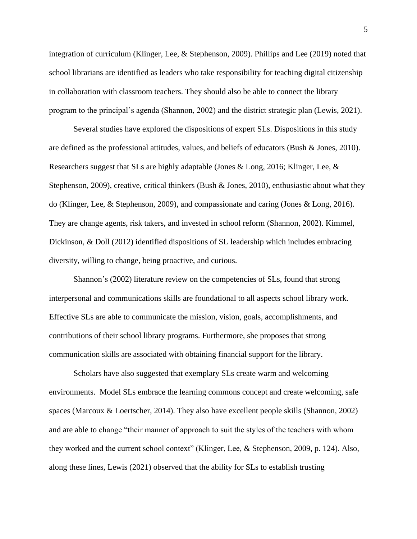integration of curriculum (Klinger, Lee, & Stephenson, 2009). Phillips and Lee (2019) noted that school librarians are identified as leaders who take responsibility for teaching digital citizenship in collaboration with classroom teachers. They should also be able to connect the library program to the principal's agenda (Shannon, 2002) and the district strategic plan (Lewis, 2021).

Several studies have explored the dispositions of expert SLs. Dispositions in this study are defined as the professional attitudes, values, and beliefs of educators (Bush & Jones, 2010). Researchers suggest that SLs are highly adaptable (Jones & Long, 2016; Klinger, Lee, & Stephenson, 2009), creative, critical thinkers (Bush & Jones, 2010), enthusiastic about what they do (Klinger, Lee, & Stephenson, 2009), and compassionate and caring (Jones & Long, 2016). They are change agents, risk takers, and invested in school reform (Shannon, 2002). Kimmel, Dickinson, & Doll (2012) identified dispositions of SL leadership which includes embracing diversity, willing to change, being proactive, and curious.

Shannon's (2002) literature review on the competencies of SLs, found that strong interpersonal and communications skills are foundational to all aspects school library work. Effective SLs are able to communicate the mission, vision, goals, accomplishments, and contributions of their school library programs. Furthermore, she proposes that strong communication skills are associated with obtaining financial support for the library.

Scholars have also suggested that exemplary SLs create warm and welcoming environments. Model SLs embrace the learning commons concept and create welcoming, safe spaces (Marcoux & Loertscher, 2014). They also have excellent people skills (Shannon, 2002) and are able to change "their manner of approach to suit the styles of the teachers with whom they worked and the current school context" (Klinger, Lee, & Stephenson, 2009, p. 124). Also, along these lines, Lewis (2021) observed that the ability for SLs to establish trusting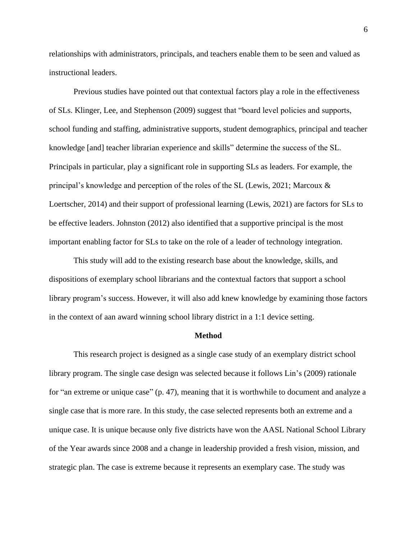relationships with administrators, principals, and teachers enable them to be seen and valued as instructional leaders.

Previous studies have pointed out that contextual factors play a role in the effectiveness of SLs. Klinger, Lee, and Stephenson (2009) suggest that "board level policies and supports, school funding and staffing, administrative supports, student demographics, principal and teacher knowledge [and] teacher librarian experience and skills" determine the success of the SL. Principals in particular, play a significant role in supporting SLs as leaders. For example, the principal's knowledge and perception of the roles of the SL (Lewis, 2021; Marcoux & Loertscher, 2014) and their support of professional learning (Lewis, 2021) are factors for SLs to be effective leaders. Johnston (2012) also identified that a supportive principal is the most important enabling factor for SLs to take on the role of a leader of technology integration.

This study will add to the existing research base about the knowledge, skills, and dispositions of exemplary school librarians and the contextual factors that support a school library program's success. However, it will also add knew knowledge by examining those factors in the context of aan award winning school library district in a 1:1 device setting.

#### **Method**

This research project is designed as a single case study of an exemplary district school library program. The single case design was selected because it follows Lin's (2009) rationale for "an extreme or unique case" (p. 47), meaning that it is worthwhile to document and analyze a single case that is more rare. In this study, the case selected represents both an extreme and a unique case. It is unique because only five districts have won the AASL National School Library of the Year awards since 2008 and a change in leadership provided a fresh vision, mission, and strategic plan. The case is extreme because it represents an exemplary case. The study was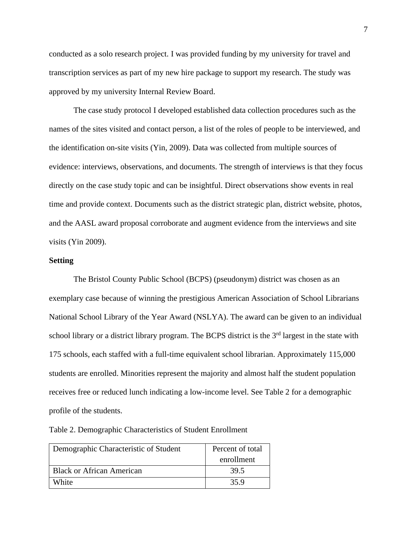conducted as a solo research project. I was provided funding by my university for travel and transcription services as part of my new hire package to support my research. The study was approved by my university Internal Review Board.

The case study protocol I developed established data collection procedures such as the names of the sites visited and contact person, a list of the roles of people to be interviewed, and the identification on-site visits (Yin, 2009). Data was collected from multiple sources of evidence: interviews, observations, and documents. The strength of interviews is that they focus directly on the case study topic and can be insightful. Direct observations show events in real time and provide context. Documents such as the district strategic plan, district website, photos, and the AASL award proposal corroborate and augment evidence from the interviews and site visits (Yin 2009).

#### **Setting**

The Bristol County Public School (BCPS) (pseudonym) district was chosen as an exemplary case because of winning the prestigious American Association of School Librarians National School Library of the Year Award (NSLYA). The award can be given to an individual school library or a district library program. The BCPS district is the  $3<sup>rd</sup>$  largest in the state with 175 schools, each staffed with a full-time equivalent school librarian. Approximately 115,000 students are enrolled. Minorities represent the majority and almost half the student population receives free or reduced lunch indicating a low-income level. See Table 2 for a demographic profile of the students.

Table 2. Demographic Characteristics of Student Enrollment

| Demographic Characteristic of Student | Percent of total |  |
|---------------------------------------|------------------|--|
|                                       | enrollment       |  |
| <b>Black or African American</b>      | 39.5             |  |
| White                                 | 35.9             |  |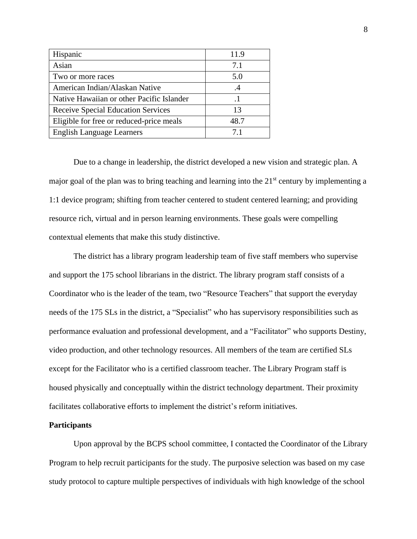| Hispanic                                  | 11.9      |
|-------------------------------------------|-----------|
| Asian                                     | 7.1       |
| Two or more races                         | 5.0       |
| American Indian/Alaskan Native            | $\cdot$ 4 |
| Native Hawaiian or other Pacific Islander | $\cdot$ 1 |
| <b>Receive Special Education Services</b> | 13        |
| Eligible for free or reduced-price meals  | 48.7      |
| <b>English Language Learners</b>          | 71        |

Due to a change in leadership, the district developed a new vision and strategic plan. A major goal of the plan was to bring teaching and learning into the 21st century by implementing a 1:1 device program; shifting from teacher centered to student centered learning; and providing resource rich, virtual and in person learning environments. These goals were compelling contextual elements that make this study distinctive.

The district has a library program leadership team of five staff members who supervise and support the 175 school librarians in the district. The library program staff consists of a Coordinator who is the leader of the team, two "Resource Teachers" that support the everyday needs of the 175 SLs in the district, a "Specialist" who has supervisory responsibilities such as performance evaluation and professional development, and a "Facilitator" who supports Destiny, video production, and other technology resources. All members of the team are certified SLs except for the Facilitator who is a certified classroom teacher. The Library Program staff is housed physically and conceptually within the district technology department. Their proximity facilitates collaborative efforts to implement the district's reform initiatives.

#### **Participants**

Upon approval by the BCPS school committee, I contacted the Coordinator of the Library Program to help recruit participants for the study. The purposive selection was based on my case study protocol to capture multiple perspectives of individuals with high knowledge of the school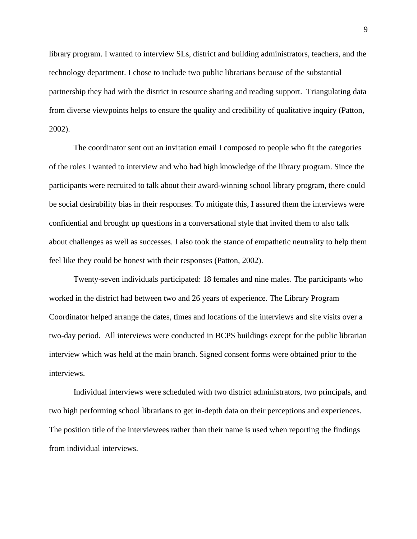library program. I wanted to interview SLs, district and building administrators, teachers, and the technology department. I chose to include two public librarians because of the substantial partnership they had with the district in resource sharing and reading support. Triangulating data from diverse viewpoints helps to ensure the quality and credibility of qualitative inquiry (Patton, 2002).

The coordinator sent out an invitation email I composed to people who fit the categories of the roles I wanted to interview and who had high knowledge of the library program. Since the participants were recruited to talk about their award-winning school library program, there could be social desirability bias in their responses. To mitigate this, I assured them the interviews were confidential and brought up questions in a conversational style that invited them to also talk about challenges as well as successes. I also took the stance of empathetic neutrality to help them feel like they could be honest with their responses (Patton, 2002).

Twenty-seven individuals participated: 18 females and nine males. The participants who worked in the district had between two and 26 years of experience. The Library Program Coordinator helped arrange the dates, times and locations of the interviews and site visits over a two-day period. All interviews were conducted in BCPS buildings except for the public librarian interview which was held at the main branch. Signed consent forms were obtained prior to the interviews.

Individual interviews were scheduled with two district administrators, two principals, and two high performing school librarians to get in-depth data on their perceptions and experiences. The position title of the interviewees rather than their name is used when reporting the findings from individual interviews.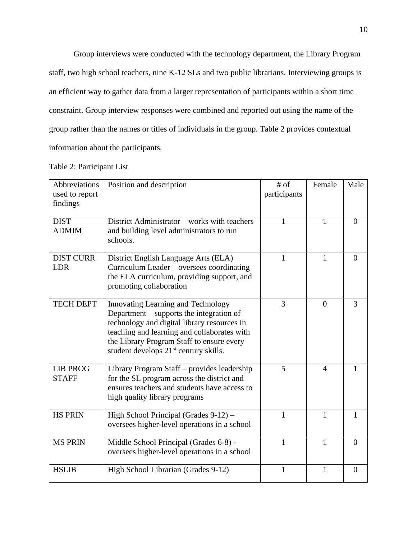Group interviews were conducted with the technology department, the Library Program staff, two high school teachers, nine K-12 SLs and two public librarians. Interviewing groups is an efficient way to gather data from a larger representation of participants within a short time constraint. Group interview responses were combined and reported out using the name of the group rather than the names or titles of individuals in the group. Table 2 provides contextual information about the participants.

|  |  | Table 2: Participant List |  |  |
|--|--|---------------------------|--|--|
|--|--|---------------------------|--|--|

| Abbreviations<br>used to report<br>findings | Position and description                                                                                                                                                                                                                                                       | $#$ of<br>participants | Female         | Male           |
|---------------------------------------------|--------------------------------------------------------------------------------------------------------------------------------------------------------------------------------------------------------------------------------------------------------------------------------|------------------------|----------------|----------------|
| <b>DIST</b><br><b>ADMIM</b>                 | District Administrator – works with teachers<br>and building level administrators to run<br>schools.                                                                                                                                                                           | 1                      | 1              | $\theta$       |
| <b>DIST CURR</b><br><b>LDR</b>              | District English Language Arts (ELA)<br>Curriculum Leader – oversees coordinating<br>the ELA curriculum, providing support, and<br>promoting collaboration                                                                                                                     | 1                      | 1              | $\theta$       |
| <b>TECH DEPT</b>                            | Innovating Learning and Technology<br>Department – supports the integration of<br>technology and digital library resources in<br>teaching and learning and collaborates with<br>the Library Program Staff to ensure every<br>student develops 21 <sup>st</sup> century skills. | 3                      | $\overline{0}$ | 3              |
| <b>LIB PROG</b><br><b>STAFF</b>             | Library Program Staff – provides leadership<br>for the SL program across the district and<br>ensures teachers and students have access to<br>high quality library programs                                                                                                     |                        | $\overline{4}$ | 1              |
| <b>HS PRIN</b>                              | High School Principal (Grades 9-12) -<br>oversees higher-level operations in a school                                                                                                                                                                                          |                        | $\mathbf{1}$   | $\mathbf{1}$   |
| <b>MS PRIN</b>                              | Middle School Principal (Grades 6-8) -<br>oversees higher-level operations in a school                                                                                                                                                                                         |                        | 1              | $\overline{0}$ |
| <b>HSLIB</b>                                | High School Librarian (Grades 9-12)                                                                                                                                                                                                                                            |                        | 1              | $\overline{0}$ |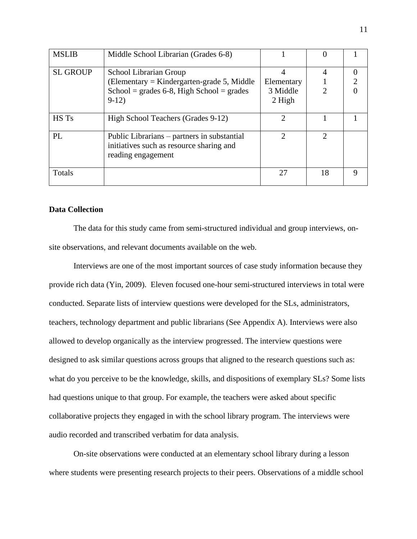| <b>MSLIB</b>    | Middle School Librarian (Grades 6-8)                                                                          |            |    |   |
|-----------------|---------------------------------------------------------------------------------------------------------------|------------|----|---|
| <b>SL GROUP</b> | School Librarian Group                                                                                        |            | 4  |   |
|                 | (Elementary = Kindergarten-grade 5, Middle)                                                                   | Elementary |    | 2 |
|                 | School = grades $6-8$ , High School = grades                                                                  | 3 Middle   |    |   |
|                 | $9-12)$                                                                                                       | 2 High     |    |   |
| HS Ts           | High School Teachers (Grades 9-12)                                                                            | っ          |    |   |
| PL              | Public Librarians – partners in substantial<br>initiatives such as resource sharing and<br>reading engagement |            |    |   |
| Totals          |                                                                                                               | 27         | 18 | Q |

### **Data Collection**

The data for this study came from semi-structured individual and group interviews, onsite observations, and relevant documents available on the web.

Interviews are one of the most important sources of case study information because they provide rich data (Yin, 2009). Eleven focused one-hour semi-structured interviews in total were conducted. Separate lists of interview questions were developed for the SLs, administrators, teachers, technology department and public librarians (See Appendix A). Interviews were also allowed to develop organically as the interview progressed. The interview questions were designed to ask similar questions across groups that aligned to the research questions such as: what do you perceive to be the knowledge, skills, and dispositions of exemplary SLs? Some lists had questions unique to that group. For example, the teachers were asked about specific collaborative projects they engaged in with the school library program. The interviews were audio recorded and transcribed verbatim for data analysis.

On-site observations were conducted at an elementary school library during a lesson where students were presenting research projects to their peers. Observations of a middle school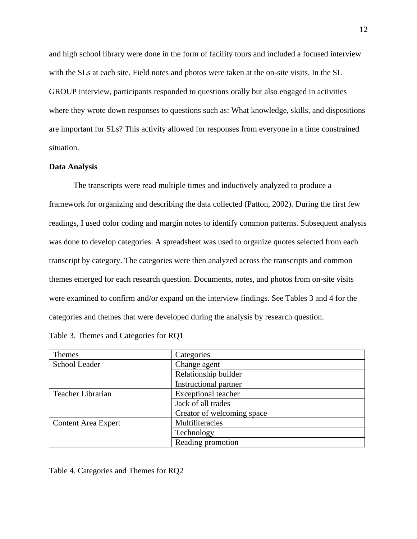and high school library were done in the form of facility tours and included a focused interview with the SLs at each site. Field notes and photos were taken at the on-site visits. In the SL GROUP interview, participants responded to questions orally but also engaged in activities where they wrote down responses to questions such as: What knowledge, skills, and dispositions are important for SLs? This activity allowed for responses from everyone in a time constrained situation.

#### **Data Analysis**

The transcripts were read multiple times and inductively analyzed to produce a framework for organizing and describing the data collected (Patton, 2002). During the first few readings, I used color coding and margin notes to identify common patterns. Subsequent analysis was done to develop categories. A spreadsheet was used to organize quotes selected from each transcript by category. The categories were then analyzed across the transcripts and common themes emerged for each research question. Documents, notes, and photos from on-site visits were examined to confirm and/or expand on the interview findings. See Tables 3 and 4 for the categories and themes that were developed during the analysis by research question.

| Themes                     | Categories                 |
|----------------------------|----------------------------|
| School Leader              | Change agent               |
|                            | Relationship builder       |
|                            | Instructional partner      |
| Teacher Librarian          | <b>Exceptional teacher</b> |
|                            | Jack of all trades         |
|                            | Creator of welcoming space |
| <b>Content Area Expert</b> | Multiliteracies            |
|                            | Technology                 |
|                            | Reading promotion          |

Table 3. Themes and Categories for RQ1

Table 4. Categories and Themes for RQ2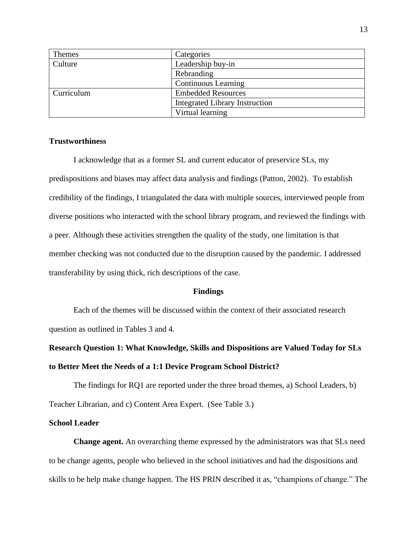| <b>Themes</b> | Categories                            |
|---------------|---------------------------------------|
| Culture       | Leadership buy-in                     |
|               | Rebranding                            |
|               | <b>Continuous Learning</b>            |
| Curriculum    | <b>Embedded Resources</b>             |
|               | <b>Integrated Library Instruction</b> |
|               | Virtual learning                      |

#### **Trustworthiness**

I acknowledge that as a former SL and current educator of preservice SLs, my predispositions and biases may affect data analysis and findings (Patton, 2002). To establish credibility of the findings, I triangulated the data with multiple sources, interviewed people from diverse positions who interacted with the school library program, and reviewed the findings with a peer. Although these activities strengthen the quality of the study, one limitation is that member checking was not conducted due to the disruption caused by the pandemic. I addressed transferability by using thick, rich descriptions of the case.

#### **Findings**

Each of the themes will be discussed within the context of their associated research question as outlined in Tables 3 and 4.

# **Research Question 1: What Knowledge, Skills and Dispositions are Valued Today for SLs to Better Meet the Needs of a 1:1 Device Program School District?**

The findings for RQ1 are reported under the three broad themes, a) School Leaders, b) Teacher Librarian, and c) Content Area Expert. (See Table 3.)

#### **School Leader**

**Change agent.** An overarching theme expressed by the administrators was that SLs need to be change agents, people who believed in the school initiatives and had the dispositions and skills to be help make change happen. The HS PRIN described it as, "champions of change." The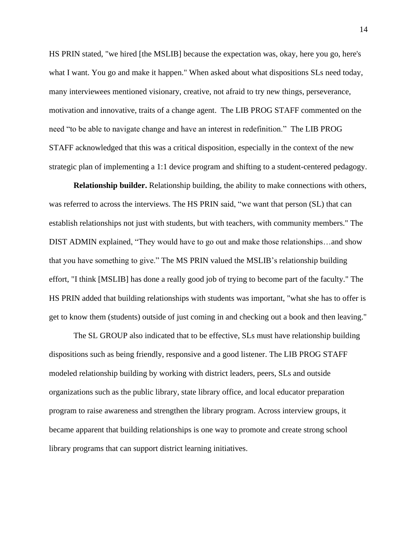HS PRIN stated, "we hired [the MSLIB] because the expectation was, okay, here you go, here's what I want. You go and make it happen." When asked about what dispositions SLs need today, many interviewees mentioned visionary, creative, not afraid to try new things, perseverance, motivation and innovative, traits of a change agent. The LIB PROG STAFF commented on the need "to be able to navigate change and have an interest in redefinition." The LIB PROG STAFF acknowledged that this was a critical disposition, especially in the context of the new strategic plan of implementing a 1:1 device program and shifting to a student-centered pedagogy.

**Relationship builder.** Relationship building, the ability to make connections with others, was referred to across the interviews. The HS PRIN said, "we want that person (SL) that can establish relationships not just with students, but with teachers, with community members." The DIST ADMIN explained, "They would have to go out and make those relationships…and show that you have something to give." The MS PRIN valued the MSLIB's relationship building effort, "I think [MSLIB] has done a really good job of trying to become part of the faculty." The HS PRIN added that building relationships with students was important, "what she has to offer is get to know them (students) outside of just coming in and checking out a book and then leaving."

The SL GROUP also indicated that to be effective, SLs must have relationship building dispositions such as being friendly, responsive and a good listener. The LIB PROG STAFF modeled relationship building by working with district leaders, peers, SLs and outside organizations such as the public library, state library office, and local educator preparation program to raise awareness and strengthen the library program. Across interview groups, it became apparent that building relationships is one way to promote and create strong school library programs that can support district learning initiatives.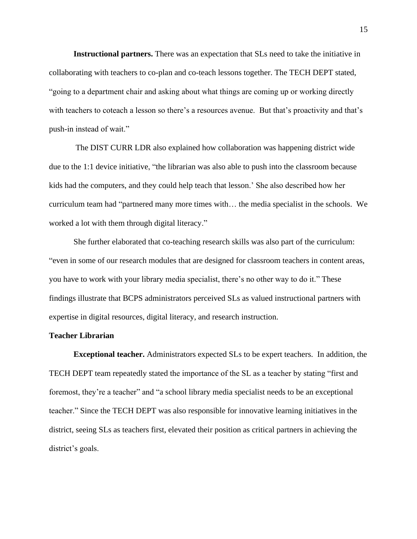**Instructional partners.** There was an expectation that SLs need to take the initiative in collaborating with teachers to co-plan and co-teach lessons together. The TECH DEPT stated, "going to a department chair and asking about what things are coming up or working directly with teachers to coteach a lesson so there's a resources avenue. But that's proactivity and that's push-in instead of wait."

The DIST CURR LDR also explained how collaboration was happening district wide due to the 1:1 device initiative, "the librarian was also able to push into the classroom because kids had the computers, and they could help teach that lesson.' She also described how her curriculum team had "partnered many more times with… the media specialist in the schools. We worked a lot with them through digital literacy."

She further elaborated that co-teaching research skills was also part of the curriculum: "even in some of our research modules that are designed for classroom teachers in content areas, you have to work with your library media specialist, there's no other way to do it." These findings illustrate that BCPS administrators perceived SLs as valued instructional partners with expertise in digital resources, digital literacy, and research instruction.

#### **Teacher Librarian**

**Exceptional teacher.** Administrators expected SLs to be expert teachers. In addition, the TECH DEPT team repeatedly stated the importance of the SL as a teacher by stating "first and foremost, they're a teacher" and "a school library media specialist needs to be an exceptional teacher." Since the TECH DEPT was also responsible for innovative learning initiatives in the district, seeing SLs as teachers first, elevated their position as critical partners in achieving the district's goals.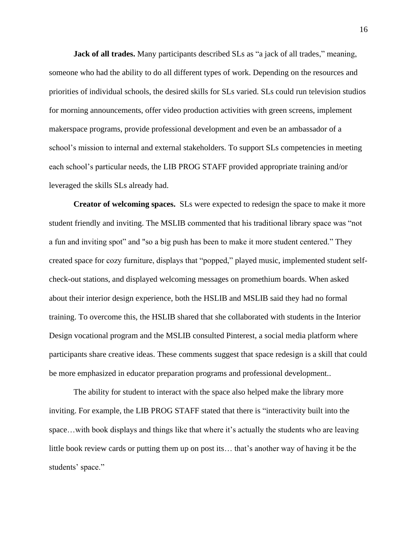**Jack of all trades.** Many participants described SLs as "a jack of all trades," meaning, someone who had the ability to do all different types of work. Depending on the resources and priorities of individual schools, the desired skills for SLs varied. SLs could run television studios for morning announcements, offer video production activities with green screens, implement makerspace programs, provide professional development and even be an ambassador of a school's mission to internal and external stakeholders. To support SLs competencies in meeting each school's particular needs, the LIB PROG STAFF provided appropriate training and/or leveraged the skills SLs already had.

**Creator of welcoming spaces.** SLs were expected to redesign the space to make it more student friendly and inviting. The MSLIB commented that his traditional library space was "not a fun and inviting spot" and "so a big push has been to make it more student centered." They created space for cozy furniture, displays that "popped," played music, implemented student selfcheck-out stations, and displayed welcoming messages on promethium boards. When asked about their interior design experience, both the HSLIB and MSLIB said they had no formal training. To overcome this, the HSLIB shared that she collaborated with students in the Interior Design vocational program and the MSLIB consulted Pinterest, a social media platform where participants share creative ideas. These comments suggest that space redesign is a skill that could be more emphasized in educator preparation programs and professional development..

The ability for student to interact with the space also helped make the library more inviting. For example, the LIB PROG STAFF stated that there is "interactivity built into the space... with book displays and things like that where it's actually the students who are leaving little book review cards or putting them up on post its… that's another way of having it be the students' space."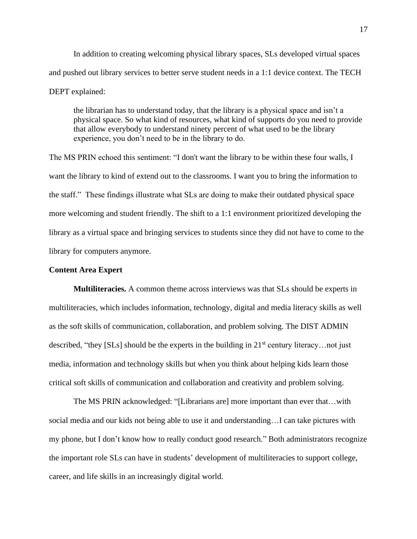In addition to creating welcoming physical library spaces, SLs developed virtual spaces and pushed out library services to better serve student needs in a 1:1 device context. The TECH DEPT explained:

the librarian has to understand today, that the library is a physical space and isn't a physical space. So what kind of resources, what kind of supports do you need to provide that allow everybody to understand ninety percent of what used to be the library experience, you don't need to be in the library to do.

The MS PRIN echoed this sentiment: "I don't want the library to be within these four walls, I want the library to kind of extend out to the classrooms. I want you to bring the information to the staff." These findings illustrate what SLs are doing to make their outdated physical space more welcoming and student friendly. The shift to a 1:1 environment prioritized developing the library as a virtual space and bringing services to students since they did not have to come to the library for computers anymore.

#### **Content Area Expert**

**Multiliteracies.** A common theme across interviews was that SLs should be experts in multiliteracies, which includes information, technology, digital and media literacy skills as well as the soft skills of communication, collaboration, and problem solving. The DIST ADMIN described, "they [SLs] should be the experts in the building in  $21<sup>st</sup>$  century literacy... not just media, information and technology skills but when you think about helping kids learn those critical soft skills of communication and collaboration and creativity and problem solving.

The MS PRIN acknowledged: "[Librarians are] more important than ever that…with social media and our kids not being able to use it and understanding…I can take pictures with my phone, but I don't know how to really conduct good research." Both administrators recognize the important role SLs can have in students' development of multiliteracies to support college, career, and life skills in an increasingly digital world.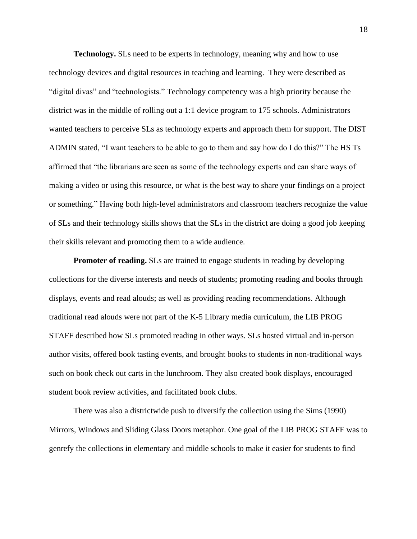**Technology.** SLs need to be experts in technology, meaning why and how to use technology devices and digital resources in teaching and learning. They were described as "digital divas" and "technologists." Technology competency was a high priority because the district was in the middle of rolling out a 1:1 device program to 175 schools. Administrators wanted teachers to perceive SLs as technology experts and approach them for support. The DIST ADMIN stated, "I want teachers to be able to go to them and say how do I do this?" The HS Ts affirmed that "the librarians are seen as some of the technology experts and can share ways of making a video or using this resource, or what is the best way to share your findings on a project or something." Having both high-level administrators and classroom teachers recognize the value of SLs and their technology skills shows that the SLs in the district are doing a good job keeping their skills relevant and promoting them to a wide audience.

**Promoter of reading.** SLs are trained to engage students in reading by developing collections for the diverse interests and needs of students; promoting reading and books through displays, events and read alouds; as well as providing reading recommendations. Although traditional read alouds were not part of the K-5 Library media curriculum, the LIB PROG STAFF described how SLs promoted reading in other ways. SLs hosted virtual and in-person author visits, offered book tasting events, and brought books to students in non-traditional ways such on book check out carts in the lunchroom. They also created book displays, encouraged student book review activities, and facilitated book clubs.

There was also a districtwide push to diversify the collection using the Sims (1990) Mirrors, Windows and Sliding Glass Doors metaphor. One goal of the LIB PROG STAFF was to genrefy the collections in elementary and middle schools to make it easier for students to find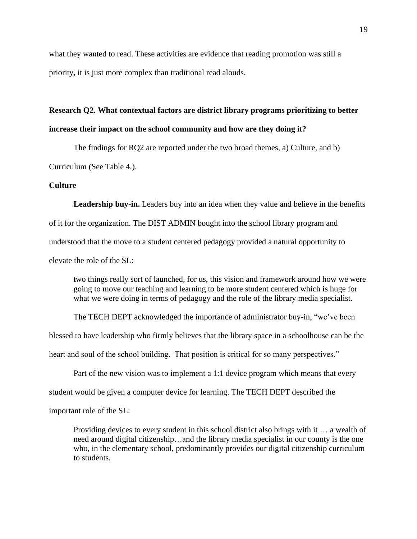what they wanted to read. These activities are evidence that reading promotion was still a priority, it is just more complex than traditional read alouds.

# **Research Q2. What contextual factors are district library programs prioritizing to better increase their impact on the school community and how are they doing it?**

The findings for RQ2 are reported under the two broad themes, a) Culture, and b)

Curriculum (See Table 4.).

#### **Culture**

Leadership buy-in. Leaders buy into an idea when they value and believe in the benefits of it for the organization. The DIST ADMIN bought into the school library program and understood that the move to a student centered pedagogy provided a natural opportunity to elevate the role of the SL:

two things really sort of launched, for us, this vision and framework around how we were going to move our teaching and learning to be more student centered which is huge for what we were doing in terms of pedagogy and the role of the library media specialist.

The TECH DEPT acknowledged the importance of administrator buy-in, "we've been

blessed to have leadership who firmly believes that the library space in a schoolhouse can be the

heart and soul of the school building. That position is critical for so many perspectives."

Part of the new vision was to implement a 1:1 device program which means that every

student would be given a computer device for learning. The TECH DEPT described the

important role of the SL:

Providing devices to every student in this school district also brings with it … a wealth of need around digital citizenship…and the library media specialist in our county is the one who, in the elementary school, predominantly provides our digital citizenship curriculum to students.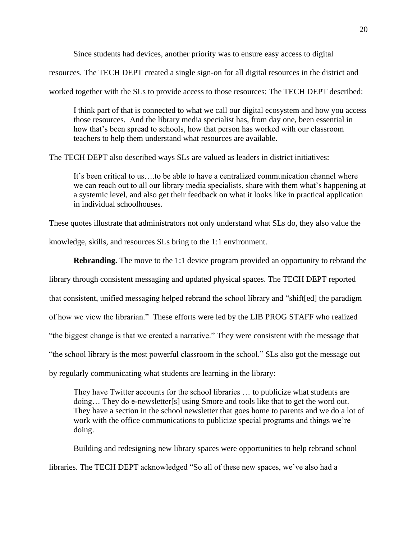Since students had devices, another priority was to ensure easy access to digital

resources. The TECH DEPT created a single sign-on for all digital resources in the district and

worked together with the SLs to provide access to those resources: The TECH DEPT described:

I think part of that is connected to what we call our digital ecosystem and how you access those resources. And the library media specialist has, from day one, been essential in how that's been spread to schools, how that person has worked with our classroom teachers to help them understand what resources are available.

The TECH DEPT also described ways SLs are valued as leaders in district initiatives:

It's been critical to us….to be able to have a centralized communication channel where we can reach out to all our library media specialists, share with them what's happening at a systemic level, and also get their feedback on what it looks like in practical application in individual schoolhouses.

These quotes illustrate that administrators not only understand what SLs do, they also value the knowledge, skills, and resources SLs bring to the 1:1 environment.

**Rebranding.** The move to the 1:1 device program provided an opportunity to rebrand the library through consistent messaging and updated physical spaces. The TECH DEPT reported that consistent, unified messaging helped rebrand the school library and "shift[ed] the paradigm of how we view the librarian." These efforts were led by the LIB PROG STAFF who realized "the biggest change is that we created a narrative." They were consistent with the message that "the school library is the most powerful classroom in the school." SLs also got the message out by regularly communicating what students are learning in the library:

They have Twitter accounts for the school libraries … to publicize what students are doing… They do e-newsletter[s] using Smore and tools like that to get the word out. They have a section in the school newsletter that goes home to parents and we do a lot of work with the office communications to publicize special programs and things we're doing.

Building and redesigning new library spaces were opportunities to help rebrand school libraries. The TECH DEPT acknowledged "So all of these new spaces, we've also had a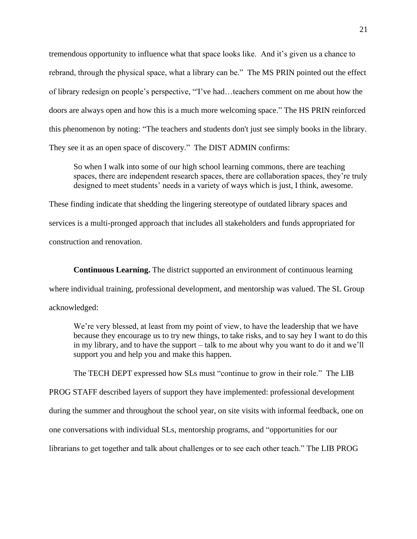tremendous opportunity to influence what that space looks like. And it's given us a chance to rebrand, through the physical space, what a library can be." The MS PRIN pointed out the effect of library redesign on people's perspective, "'I've had…teachers comment on me about how the doors are always open and how this is a much more welcoming space." The HS PRIN reinforced this phenomenon by noting: "The teachers and students don't just see simply books in the library. They see it as an open space of discovery." The DIST ADMIN confirms:

So when I walk into some of our high school learning commons, there are teaching spaces, there are independent research spaces, there are collaboration spaces, they're truly designed to meet students' needs in a variety of ways which is just, I think, awesome.

These finding indicate that shedding the lingering stereotype of outdated library spaces and services is a multi-pronged approach that includes all stakeholders and funds appropriated for construction and renovation.

**Continuous Learning.** The district supported an environment of continuous learning where individual training, professional development, and mentorship was valued. The SL Group acknowledged:

We're very blessed, at least from my point of view, to have the leadership that we have because they encourage us to try new things, to take risks, and to say hey I want to do this in my library, and to have the support – talk to me about why you want to do it and we'll support you and help you and make this happen.

The TECH DEPT expressed how SLs must "continue to grow in their role." The LIB

PROG STAFF described layers of support they have implemented: professional development

during the summer and throughout the school year, on site visits with informal feedback, one on

one conversations with individual SLs, mentorship programs, and "opportunities for our

librarians to get together and talk about challenges or to see each other teach." The LIB PROG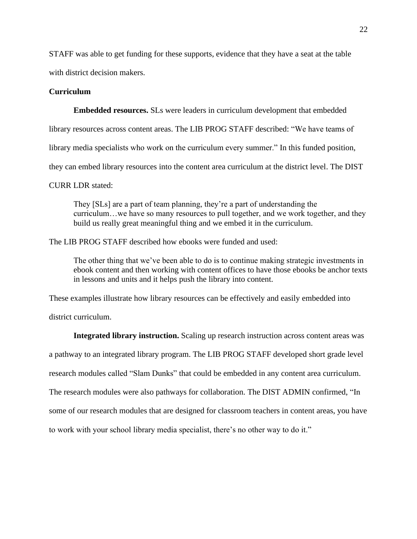STAFF was able to get funding for these supports, evidence that they have a seat at the table

with district decision makers.

#### **Curriculum**

**Embedded resources.** SLs were leaders in curriculum development that embedded

library resources across content areas. The LIB PROG STAFF described: "We have teams of

library media specialists who work on the curriculum every summer." In this funded position,

they can embed library resources into the content area curriculum at the district level. The DIST

CURR LDR stated:

They [SLs] are a part of team planning, they're a part of understanding the curriculum…we have so many resources to pull together, and we work together, and they build us really great meaningful thing and we embed it in the curriculum.

The LIB PROG STAFF described how ebooks were funded and used:

The other thing that we've been able to do is to continue making strategic investments in ebook content and then working with content offices to have those ebooks be anchor texts in lessons and units and it helps push the library into content.

These examples illustrate how library resources can be effectively and easily embedded into

district curriculum.

**Integrated library instruction.** Scaling up research instruction across content areas was

a pathway to an integrated library program. The LIB PROG STAFF developed short grade level

research modules called "Slam Dunks" that could be embedded in any content area curriculum.

The research modules were also pathways for collaboration. The DIST ADMIN confirmed, "In

some of our research modules that are designed for classroom teachers in content areas, you have

to work with your school library media specialist, there's no other way to do it."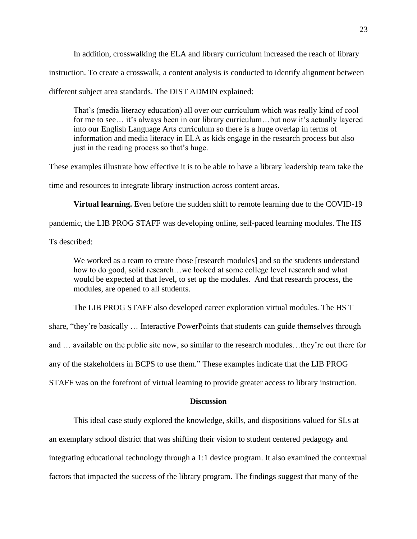In addition, crosswalking the ELA and library curriculum increased the reach of library instruction. To create a crosswalk, a content analysis is conducted to identify alignment between different subject area standards. The DIST ADMIN explained:

That's (media literacy education) all over our curriculum which was really kind of cool for me to see… it's always been in our library curriculum…but now it's actually layered into our English Language Arts curriculum so there is a huge overlap in terms of information and media literacy in ELA as kids engage in the research process but also just in the reading process so that's huge.

These examples illustrate how effective it is to be able to have a library leadership team take the time and resources to integrate library instruction across content areas.

**Virtual learning.** Even before the sudden shift to remote learning due to the COVID-19 pandemic, the LIB PROG STAFF was developing online, self-paced learning modules. The HS

Ts described:

We worked as a team to create those [research modules] and so the students understand how to do good, solid research…we looked at some college level research and what would be expected at that level, to set up the modules. And that research process, the modules, are opened to all students.

The LIB PROG STAFF also developed career exploration virtual modules. The HS T share, "they're basically … Interactive PowerPoints that students can guide themselves through and … available on the public site now, so similar to the research modules…they're out there for any of the stakeholders in BCPS to use them." These examples indicate that the LIB PROG

STAFF was on the forefront of virtual learning to provide greater access to library instruction.

### **Discussion**

This ideal case study explored the knowledge, skills, and dispositions valued for SLs at an exemplary school district that was shifting their vision to student centered pedagogy and integrating educational technology through a 1:1 device program. It also examined the contextual factors that impacted the success of the library program. The findings suggest that many of the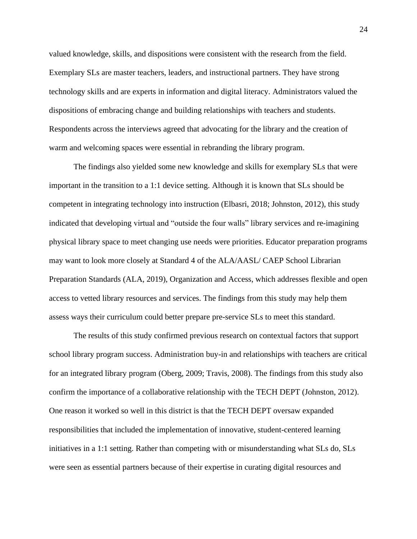valued knowledge, skills, and dispositions were consistent with the research from the field. Exemplary SLs are master teachers, leaders, and instructional partners. They have strong technology skills and are experts in information and digital literacy. Administrators valued the dispositions of embracing change and building relationships with teachers and students. Respondents across the interviews agreed that advocating for the library and the creation of warm and welcoming spaces were essential in rebranding the library program.

The findings also yielded some new knowledge and skills for exemplary SLs that were important in the transition to a 1:1 device setting. Although it is known that SLs should be competent in integrating technology into instruction (Elbasri, 2018; Johnston, 2012), this study indicated that developing virtual and "outside the four walls" library services and re-imagining physical library space to meet changing use needs were priorities. Educator preparation programs may want to look more closely at Standard 4 of the ALA/AASL/ CAEP School Librarian Preparation Standards (ALA, 2019), Organization and Access, which addresses flexible and open access to vetted library resources and services. The findings from this study may help them assess ways their curriculum could better prepare pre-service SLs to meet this standard.

The results of this study confirmed previous research on contextual factors that support school library program success. Administration buy-in and relationships with teachers are critical for an integrated library program (Oberg, 2009; Travis, 2008). The findings from this study also confirm the importance of a collaborative relationship with the TECH DEPT (Johnston, 2012). One reason it worked so well in this district is that the TECH DEPT oversaw expanded responsibilities that included the implementation of innovative, student-centered learning initiatives in a 1:1 setting. Rather than competing with or misunderstanding what SLs do, SLs were seen as essential partners because of their expertise in curating digital resources and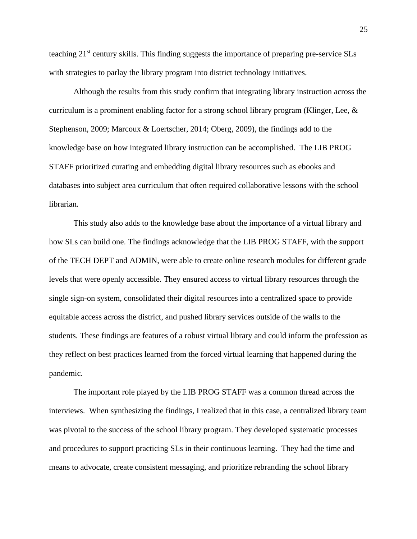teaching 21st century skills. This finding suggests the importance of preparing pre-service SLs with strategies to parlay the library program into district technology initiatives.

Although the results from this study confirm that integrating library instruction across the curriculum is a prominent enabling factor for a strong school library program (Klinger, Lee, & Stephenson, 2009; Marcoux & Loertscher, 2014; Oberg, 2009), the findings add to the knowledge base on how integrated library instruction can be accomplished. The LIB PROG STAFF prioritized curating and embedding digital library resources such as ebooks and databases into subject area curriculum that often required collaborative lessons with the school librarian.

This study also adds to the knowledge base about the importance of a virtual library and how SLs can build one. The findings acknowledge that the LIB PROG STAFF, with the support of the TECH DEPT and ADMIN, were able to create online research modules for different grade levels that were openly accessible. They ensured access to virtual library resources through the single sign-on system, consolidated their digital resources into a centralized space to provide equitable access across the district, and pushed library services outside of the walls to the students. These findings are features of a robust virtual library and could inform the profession as they reflect on best practices learned from the forced virtual learning that happened during the pandemic.

The important role played by the LIB PROG STAFF was a common thread across the interviews. When synthesizing the findings, I realized that in this case, a centralized library team was pivotal to the success of the school library program. They developed systematic processes and procedures to support practicing SLs in their continuous learning. They had the time and means to advocate, create consistent messaging, and prioritize rebranding the school library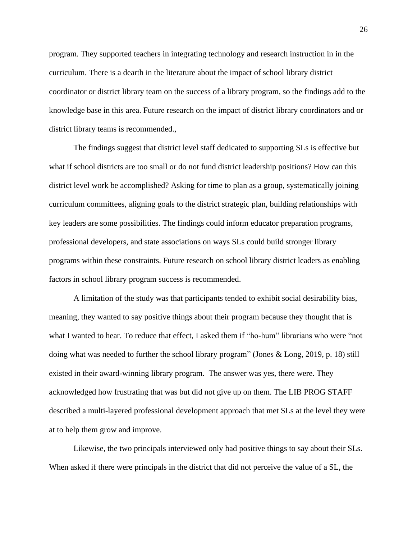program. They supported teachers in integrating technology and research instruction in in the curriculum. There is a dearth in the literature about the impact of school library district coordinator or district library team on the success of a library program, so the findings add to the knowledge base in this area. Future research on the impact of district library coordinators and or district library teams is recommended.,

The findings suggest that district level staff dedicated to supporting SLs is effective but what if school districts are too small or do not fund district leadership positions? How can this district level work be accomplished? Asking for time to plan as a group, systematically joining curriculum committees, aligning goals to the district strategic plan, building relationships with key leaders are some possibilities. The findings could inform educator preparation programs, professional developers, and state associations on ways SLs could build stronger library programs within these constraints. Future research on school library district leaders as enabling factors in school library program success is recommended.

A limitation of the study was that participants tended to exhibit social desirability bias, meaning, they wanted to say positive things about their program because they thought that is what I wanted to hear. To reduce that effect, I asked them if "ho-hum" librarians who were "not doing what was needed to further the school library program" (Jones & Long, 2019, p. 18) still existed in their award-winning library program. The answer was yes, there were. They acknowledged how frustrating that was but did not give up on them. The LIB PROG STAFF described a multi-layered professional development approach that met SLs at the level they were at to help them grow and improve.

Likewise, the two principals interviewed only had positive things to say about their SLs. When asked if there were principals in the district that did not perceive the value of a SL, the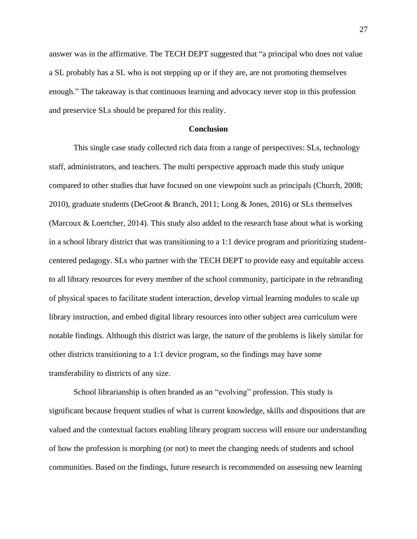answer was in the affirmative. The TECH DEPT suggested that "a principal who does not value a SL probably has a SL who is not stepping up or if they are, are not promoting themselves enough." The takeaway is that continuous learning and advocacy never stop in this profession and preservice SLs should be prepared for this reality.

#### **Conclusion**

This single case study collected rich data from a range of perspectives: SLs, technology staff, administrators, and teachers. The multi perspective approach made this study unique compared to other studies that have focused on one viewpoint such as principals (Church, 2008; 2010), graduate students (DeGroot & Branch, 2011; Long & Jones, 2016) or SLs themselves (Marcoux & Loertcher, 2014). This study also added to the research base about what is working in a school library district that was transitioning to a 1:1 device program and prioritizing studentcentered pedagogy. SLs who partner with the TECH DEPT to provide easy and equitable access to all library resources for every member of the school community, participate in the rebranding of physical spaces to facilitate student interaction, develop virtual learning modules to scale up library instruction, and embed digital library resources into other subject area curriculum were notable findings. Although this district was large, the nature of the problems is likely similar for other districts transitioning to a 1:1 device program, so the findings may have some transferability to districts of any size.

School librarianship is often branded as an "evolving" profession. This study is significant because frequent studies of what is current knowledge, skills and dispositions that are valued and the contextual factors enabling library program success will ensure our understanding of how the profession is morphing (or not) to meet the changing needs of students and school communities. Based on the findings, future research is recommended on assessing new learning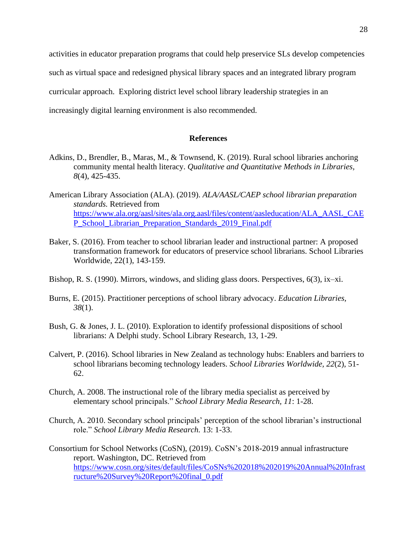activities in educator preparation programs that could help preservice SLs develop competencies such as virtual space and redesigned physical library spaces and an integrated library program curricular approach. Exploring district level school library leadership strategies in an increasingly digital learning environment is also recommended.

#### **References**

- Adkins, D., Brendler, B., Maras, M., & Townsend, K. (2019). Rural school libraries anchoring community mental health literacy. *Qualitative and Quantitative Methods in Libraries, 8*(4), 425-435.
- American Library Association (ALA). (2019). *ALA/AASL/CAEP school librarian preparation standards.* Retrieved from [https://www.ala.org/aasl/sites/ala.org.aasl/files/content/aasleducation/ALA\\_AASL\\_CAE](https://www.ala.org/aasl/sites/ala.org.aasl/files/content/aasleducation/ALA_AASL_CAEP_School_Librarian_Preparation_Standards_2019_Final.pdf) [P\\_School\\_Librarian\\_Preparation\\_Standards\\_2019\\_Final.pdf](https://www.ala.org/aasl/sites/ala.org.aasl/files/content/aasleducation/ALA_AASL_CAEP_School_Librarian_Preparation_Standards_2019_Final.pdf)
- Baker, S. (2016). From teacher to school librarian leader and instructional partner: A proposed transformation framework for educators of preservice school librarians. School Libraries Worldwide, 22(1), 143-159.
- Bishop, R. S. (1990). Mirrors, windows, and sliding glass doors. Perspectives, 6(3), ix–xi.
- Burns, E. (2015). Practitioner perceptions of school library advocacy. *Education Libraries, 38*(1).
- Bush, G. & Jones, J. L. (2010). Exploration to identify professional dispositions of school librarians: A Delphi study. School Library Research, 13, 1-29.
- Calvert, P. (2016). School libraries in New Zealand as technology hubs: Enablers and barriers to school librarians becoming technology leaders. *School Libraries Worldwide, 22*(2), 51- 62.
- Church, A. 2008. The instructional role of the library media specialist as perceived by elementary school principals." *School Library Media Research, 11*: 1-28.
- Church, A. 2010. Secondary school principals' perception of the school librarian's instructional role." *School Library Media Research.* 13: 1-33.
- Consortium for School Networks (CoSN), (2019). CoSN's 2018-2019 annual infrastructure report. Washington, DC. Retrieved from [https://www.cosn.org/sites/default/files/CoSNs%202018%202019%20Annual%20Infrast](https://www.cosn.org/sites/default/files/CoSNs%202018%202019%20Annual%20Infrastructure%20Survey%20Report%20final_0.pdf) [ructure%20Survey%20Report%20final\\_0.pdf](https://www.cosn.org/sites/default/files/CoSNs%202018%202019%20Annual%20Infrastructure%20Survey%20Report%20final_0.pdf)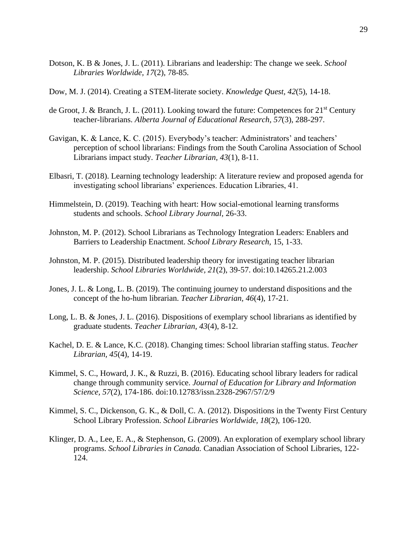- Dotson, K. B & Jones, J. L. (2011). Librarians and leadership: The change we seek. *School Libraries Worldwide, 17*(2), 78-85.
- Dow, M. J. (2014). Creating a STEM-literate society. *Knowledge Quest, 42*(5), 14-18.
- de Groot, J. & Branch, J. L. (2011). Looking toward the future: Competences for  $21<sup>st</sup>$  Century teacher-librarians. *Alberta Journal of Educational Research, 57*(3), 288-297.
- Gavigan, K. & Lance, K. C. (2015). Everybody's teacher: Administrators' and teachers' perception of school librarians: Findings from the South Carolina Association of School Librarians impact study. *Teacher Librarian, 43*(1), 8-11.
- Elbasri, T. (2018). Learning technology leadership: A literature review and proposed agenda for investigating school librarians' experiences. Education Libraries, 41.
- Himmelstein, D. (2019). Teaching with heart: How social-emotional learning transforms students and schools. *School Library Journal,* 26-33.
- Johnston, M. P. (2012). School Librarians as Technology Integration Leaders: Enablers and Barriers to Leadership Enactment. *School Library Research,* 15, 1-33.
- Johnston, M. P. (2015). Distributed leadership theory for investigating teacher librarian leadership. *School Libraries Worldwide, 21*(2), 39-57. doi:10.14265.21.2.003
- Jones, J. L. & Long, L. B. (2019). The continuing journey to understand dispositions and the concept of the ho-hum librarian. *Teacher Librarian, 46*(4), 17-21.
- Long, L. B. & Jones, J. L. (2016). Dispositions of exemplary school librarians as identified by graduate students. *Teacher Librarian, 43*(4), 8-12.
- Kachel, D. E. & Lance, K.C. (2018). Changing times: School librarian staffing status. *Teacher Librarian, 45*(4), 14-19.
- Kimmel, S. C., Howard, J. K., & Ruzzi, B. (2016). Educating school library leaders for radical change through community service. *Journal of Education for Library and Information Science, 57*(2), 174-186. doi:10.12783/issn.2328-2967/57/2/9
- Kimmel, S. C., Dickenson, G. K., & Doll, C. A. (2012). Dispositions in the Twenty First Century School Library Profession. *School Libraries Worldwide, 18*(2), 106-120.
- Klinger, D. A., Lee, E. A., & Stephenson, G. (2009). An exploration of exemplary school library programs. *School Libraries in Canada.* Canadian Association of School Libraries, 122- 124.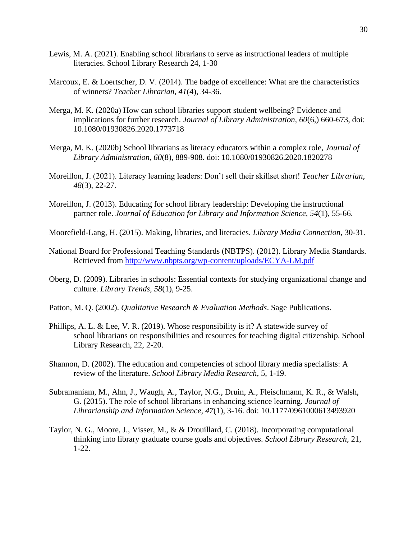- Lewis, M. A. (2021). Enabling school librarians to serve as instructional leaders of multiple literacies. School Library Research 24, 1-30
- Marcoux, E. & Loertscher, D. V. (2014). The badge of excellence: What are the characteristics of winners? *Teacher Librarian, 41*(4), 34-36.
- Merga, M. K. (2020a) How can school libraries support student wellbeing? Evidence and implications for further research. *Journal of Library Administration, 60*(6,) 660-673, doi: 10.1080/01930826.2020.1773718
- Merga, M. K. (2020b) School librarians as literacy educators within a complex role, *Journal of Library Administration, 60*(8), 889-908. doi: 10.1080/01930826.2020.1820278
- Moreillon, J. (2021). Literacy learning leaders: Don't sell their skillset short! *Teacher Librarian, 48*(3), 22-27.
- Moreillon, J. (2013). Educating for school library leadership: Developing the instructional partner role. *Journal of Education for Library and Information Science, 54*(1), 55-66.
- Moorefield-Lang, H. (2015). Making, libraries, and literacies. *Library Media Connection*, 30-31.
- National Board for Professional Teaching Standards (NBTPS). (2012). Library Media Standards. Retrieved from<http://www.nbpts.org/wp-content/uploads/ECYA-LM.pdf>
- Oberg, D. (2009). Libraries in schools: Essential contexts for studying organizational change and culture. *Library Trends, 58*(1), 9-25.
- Patton, M. Q. (2002). *Qualitative Research & Evaluation Methods*. Sage Publications.
- Phillips, A. L. & Lee, V. R. (2019). Whose responsibility is it? A statewide survey of school librarians on responsibilities and resources for teaching digital citizenship. School Library Research, 22, 2-20.
- Shannon, D. (2002). The education and competencies of school library media specialists: A review of the literature. *School Library Media Research,* 5, 1-19.
- Subramaniam, M., Ahn, J., Waugh, A., Taylor, N.G., Druin, A., Fleischmann, K. R., & Walsh, G. (2015). The role of school librarians in enhancing science learning. *Journal of Librarianship and Information Science, 47*(1), 3-16. doi: 10.1177/0961000613493920
- Taylor, N. G., Moore, J., Visser, M., & & Drouillard, C. (2018). Incorporating computational thinking into library graduate course goals and objectives. *School Library Research,* 21, 1-22.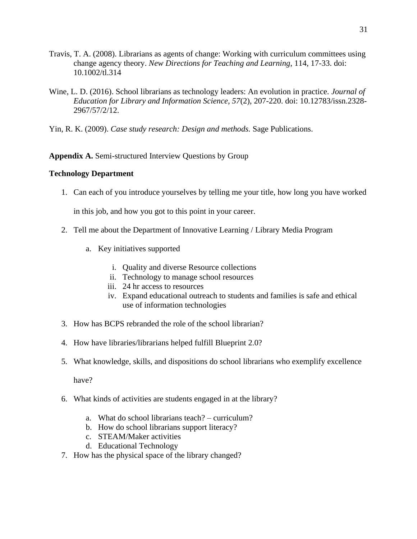- Travis, T. A. (2008). Librarians as agents of change: Working with curriculum committees using change agency theory. *New Directions for Teaching and Learning*, 114, 17-33. doi: 10.1002/tl.314
- Wine, L. D. (2016). School librarians as technology leaders: An evolution in practice. *Journal of Education for Library and Information Science, 57*(2), 207-220. doi: 10.12783/issn.2328- 2967/57/2/12.
- Yin, R. K. (2009). *Case study research: Design and methods.* Sage Publications.

# **Appendix A.** Semi-structured Interview Questions by Group

### **Technology Department**

1. Can each of you introduce yourselves by telling me your title, how long you have worked

in this job, and how you got to this point in your career.

- 2. Tell me about the Department of Innovative Learning / Library Media Program
	- a. Key initiatives supported
		- i. Quality and diverse Resource collections
		- ii. Technology to manage school resources
		- iii. 24 hr access to resources
		- iv. Expand educational outreach to students and families is safe and ethical use of information technologies
- 3. How has BCPS rebranded the role of the school librarian?
- 4. How have libraries/librarians helped fulfill Blueprint 2.0?
- 5. What knowledge, skills, and dispositions do school librarians who exemplify excellence

have?

- 6. What kinds of activities are students engaged in at the library?
	- a. What do school librarians teach? curriculum?
	- b. How do school librarians support literacy?
	- c. STEAM/Maker activities
	- d. Educational Technology
- 7. How has the physical space of the library changed?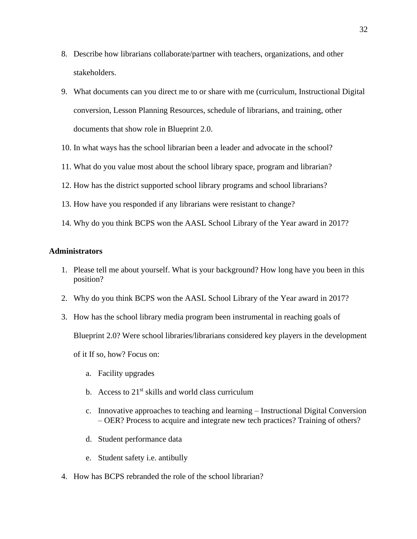- 8. Describe how librarians collaborate/partner with teachers, organizations, and other stakeholders.
- 9. What documents can you direct me to or share with me (curriculum, Instructional Digital conversion, Lesson Planning Resources, schedule of librarians, and training, other documents that show role in Blueprint 2.0.
- 10. In what ways has the school librarian been a leader and advocate in the school?
- 11. What do you value most about the school library space, program and librarian?
- 12. How has the district supported school library programs and school librarians?
- 13. How have you responded if any librarians were resistant to change?
- 14. Why do you think BCPS won the AASL School Library of the Year award in 2017?

#### **Administrators**

- 1. Please tell me about yourself. What is your background? How long have you been in this position?
- 2. Why do you think BCPS won the AASL School Library of the Year award in 2017?
- 3. How has the school library media program been instrumental in reaching goals of Blueprint 2.0? Were school libraries/librarians considered key players in the development of it If so, how? Focus on:
	- a. Facility upgrades
	- b. Access to  $21<sup>st</sup>$  skills and world class curriculum
	- c. Innovative approaches to teaching and learning Instructional Digital Conversion – OER? Process to acquire and integrate new tech practices? Training of others?
	- d. Student performance data
	- e. Student safety i.e. antibully
- 4. How has BCPS rebranded the role of the school librarian?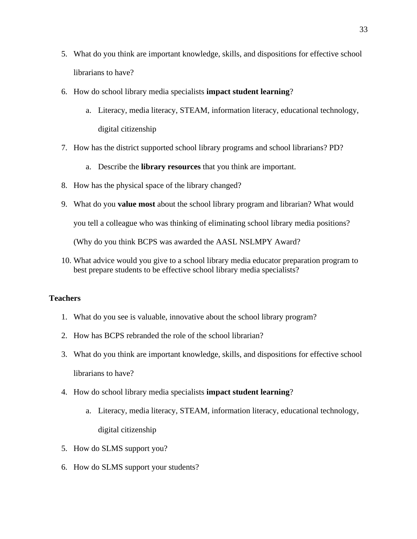- 5. What do you think are important knowledge, skills, and dispositions for effective school librarians to have?
- 6. How do school library media specialists **impact student learning**?
	- a. Literacy, media literacy, STEAM, information literacy, educational technology, digital citizenship
- 7. How has the district supported school library programs and school librarians? PD?
	- a. Describe the **library resources** that you think are important.
- 8. How has the physical space of the library changed?
- 9. What do you **value most** about the school library program and librarian? What would you tell a colleague who was thinking of eliminating school library media positions? (Why do you think BCPS was awarded the AASL NSLMPY Award?
- 10. What advice would you give to a school library media educator preparation program to best prepare students to be effective school library media specialists?

#### **Teachers**

- 1. What do you see is valuable, innovative about the school library program?
- 2. How has BCPS rebranded the role of the school librarian?
- 3. What do you think are important knowledge, skills, and dispositions for effective school librarians to have?
- 4. How do school library media specialists **impact student learning**?
	- a. Literacy, media literacy, STEAM, information literacy, educational technology, digital citizenship
- 5. How do SLMS support you?
- 6. How do SLMS support your students?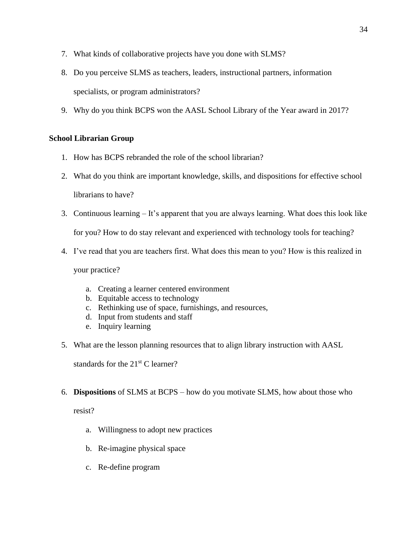- 7. What kinds of collaborative projects have you done with SLMS?
- 8. Do you perceive SLMS as teachers, leaders, instructional partners, information specialists, or program administrators?
- 9. Why do you think BCPS won the AASL School Library of the Year award in 2017?

### **School Librarian Group**

- 1. How has BCPS rebranded the role of the school librarian?
- 2. What do you think are important knowledge, skills, and dispositions for effective school librarians to have?
- 3. Continuous learning It's apparent that you are always learning. What does this look like

for you? How to do stay relevant and experienced with technology tools for teaching?

4. I've read that you are teachers first. What does this mean to you? How is this realized in

your practice?

- a. Creating a learner centered environment
- b. Equitable access to technology
- c. Rethinking use of space, furnishings, and resources,
- d. Input from students and staff
- e. Inquiry learning
- 5. What are the lesson planning resources that to align library instruction with AASL

standards for the  $21<sup>st</sup>$  C learner?

6. **Dispositions** of SLMS at BCPS – how do you motivate SLMS, how about those who

resist?

- a. Willingness to adopt new practices
- b. Re-imagine physical space
- c. Re-define program